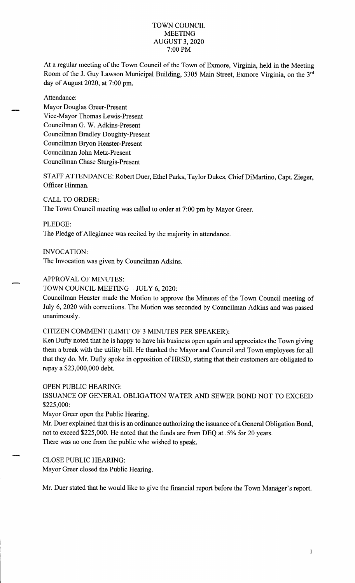### TOWN COUNCIL **MEETING** AUGUST 3, 2020 7:00 PM

At a regular meeting of the Town Council of the Town of Exmore, Virginia, held in the Meeting Room of the J. Guy Lawson Municipal Building, 3305 Main Street, Exmore Virginia, on the 3<sup>rd</sup> day of August 2020, at 7:00 pm.

Attendance:

Mayor Douglas Greer-Present Vice-Mayor Thomas Lewis-Present Councilman G. W. Adkins-Present Councilman Bradley Doughty-Present Councilman Bryon Heaster-Present Councilman John Metz-Present Councilman Chase Sturgis-Present

STAFF ATTENDANCE: Robert Duer, Ethel Parks, Taylor Dukes, Chief DiMartino, Capt. Zieger, Officer Hinman.

CALL TO ORDER:

The Town Council meeting was called to order at 7:00 pm by Mayor Greer.

PLEDGE:

The Pledge of Allegiance was recited by the majority in attendance.

INVOCATION:

The Invocation was given by Councilman Adkins.

APPROVAL OF MINUTES:

TOWN COUNCIL MEETING - JULY 6, 2020:

Councilman Heaster made the Motion to approve the Minutes of the Town Council meeting of July 6, 2020 with corrections. The Motion was seconded by Councilman Adkins and was passed unanimously.

CITIZEN COMMENT (LIMIT OF 3 MINUTES PER SPEAKER):

Ken Dufty noted that he is happy to have his business open again and appreciates the Town giving them a break with the utility bill. He thanked the Mayor and Council and Town employees for all that they do. Mr. Dufty spoke in opposition of HRSD, stating that their customers are obligated to repay a \$23,000,000 debt.

OPEN PUBLIC HEARING:

ISSUANCE OF GENERAL OBLIGATION WATER AND SEWER BOND NOT TO EXCEED \$225,000:

Mayor Greer open the Public Hearing.

Mr. Duer explained that this is an ordinance authorizing the issuance of a General Obligation Bond, not to exceed \$225,000. He noted that the funds are from DEQ at .5% for 20 years. There was no one from the public who wished to speak.

# CLOSE PUBLIC HEARING:

Mayor Greer closed the Public Hearing.

Mr. Duer stated that he would like to give the financial report before the Town Manager's report.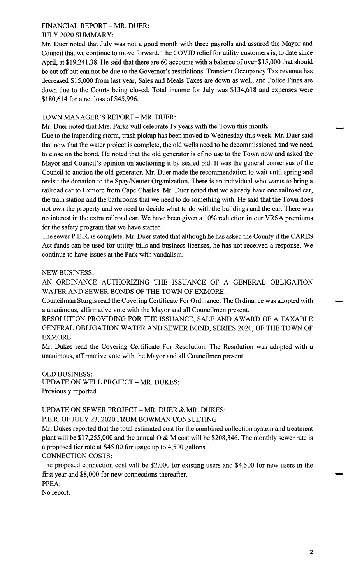# FINANCIAL REPORT - MR. DUER: JULY 2020 SUMMARY:

Mr. Duer noted that July was not a good month with three payrolls and assured the Mayor and Council that we continue to move forward. The COVID relief for utility customers is, to date since April, at \$19,241.38. He said that there are 60 accounts with a balance of over \$15,000 that should be cut off but can not be due to the Governor's restrictions. Transient Occupancy Tax revenue has decreased \$15,000 from last year, Sales and Meals Taxes are down as well, and Police Fines are down due to the Courts being closed. Total income for July was \$134,618 and expenses were \$180,614 for a net loss of \$45,996.

# TOWN MANAGER'S REPORT - MR. DUER:

Mr. Duer noted that Mrs. Parks will celebrate 19 years with the Town this month.

Due to the impending storm, trash pickup has been moved to Wednesday this week. Mr. Duer said that now that the water project is complete, the old wells need to be decommissioned and we need to close on the bond. He noted that the old generator is of no use to the Town now and asked the Mayor and Council's opinion on auctioning it by sealed bid. It was the general consensus of the Council to auction the old generator. Mr. Duer made the recommendation to wait until spring and revisit the donation to the Spay/Neuter Organization. There is an individual who wants to bring a railroad car to Exmore from Cape Charles. Mr. Duer noted that we already have one railroad car, the train station and the bathrooms that we need to do something with. He said that the Town does not own the property and we need to decide what to do with the buildings and the car. There was no interest in the extra railroad car. We have been given a 10% reduction in our VRSA premiums for the safety program that we have started.

The sewer P.E.R. is complete. Mr. Duer stated that although he has asked the County if the CARES Act funds can be used for utility bills and business licenses, he has not received a response. We continue to have issues at the Park with vandalism.

### NEW BUSINESS:

AN ORDINANCE AUTHORIZING THE ISSUANCE OF A GENERAL OBLIGATION WATER AND SEWER BONDS OF THE TOWN OF EXMORE:

Councilman Sturgis read the Covering Certificate For Ordinance. The Ordinance was adopted with a unanimous, affirmative vote with the Mayor and all Councilmen present.

RESOLUTION PROVIDING FOR THE ISSUANCE, SALE AND AWARD OF A TAXABLE GENERAL OBLIGATION WATER AND SEWER BOND, SERIES 2020, OF THE TOWN OF EXMORE:

Mr. Dukes read the Covering Certificate For Resolution. The Resolution was adopted with a unanimous, affirmative vote with the Mayor and all Councilmen present.

OLD BUSINESS:

UPDATE ON WELL PROJECT - MR. DUKES: Previously reported.

UPDATE ON SEWER PROJECT - MR. DUER & MR. DUKES:

P.E.R. OF JULY 23, 2020 FROM BOWMAN CONSULTING:

Mr. Dukes reported that the total estimated cost for the combined collection system and treatment plant will be \$17,255,000 and the annual O & M cost will be \$208,346. The monthly sewer rate is a proposed tier rate at \$45.00 for usage up to 4,500 gallons.

CONNECTION COSTS:

The proposed connection cost will be \$2,000 for existing users and \$4,500 for new users in the first year and \$8,000 for new connections thereafter.

PPEA:

No report.